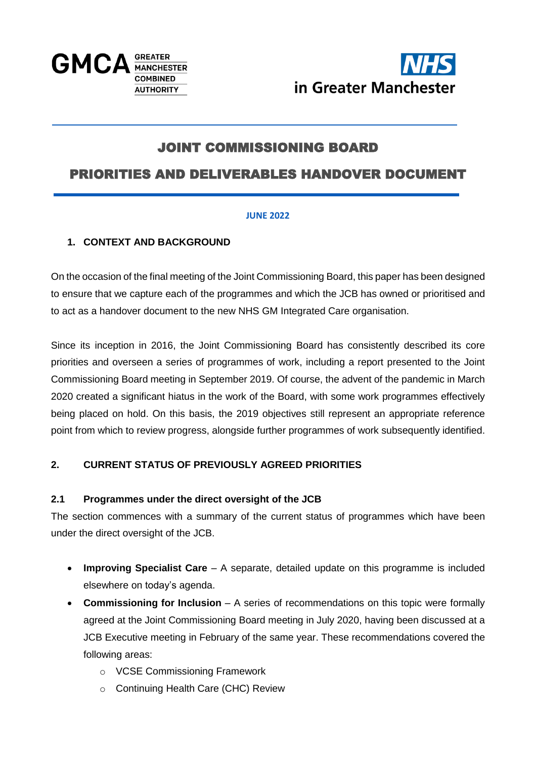



# JOINT COMMISSIONING BOARD

## PRIORITIES AND DELIVERABLES HANDOVER DOCUMENT

#### **JUNE 2022**

#### **1. CONTEXT AND BACKGROUND**

On the occasion of the final meeting of the Joint Commissioning Board, this paper has been designed to ensure that we capture each of the programmes and which the JCB has owned or prioritised and to act as a handover document to the new NHS GM Integrated Care organisation.

Since its inception in 2016, the Joint Commissioning Board has consistently described its core priorities and overseen a series of programmes of work, including a report presented to the Joint Commissioning Board meeting in September 2019. Of course, the advent of the pandemic in March 2020 created a significant hiatus in the work of the Board, with some work programmes effectively being placed on hold. On this basis, the 2019 objectives still represent an appropriate reference point from which to review progress, alongside further programmes of work subsequently identified.

## **2. CURRENT STATUS OF PREVIOUSLY AGREED PRIORITIES**

#### **2.1 Programmes under the direct oversight of the JCB**

The section commences with a summary of the current status of programmes which have been under the direct oversight of the JCB.

- **Improving Specialist Care** A separate, detailed update on this programme is included elsewhere on today's agenda.
- **Commissioning for Inclusion** A series of recommendations on this topic were formally agreed at the Joint Commissioning Board meeting in July 2020, having been discussed at a JCB Executive meeting in February of the same year. These recommendations covered the following areas:
	- o VCSE Commissioning Framework
	- o Continuing Health Care (CHC) Review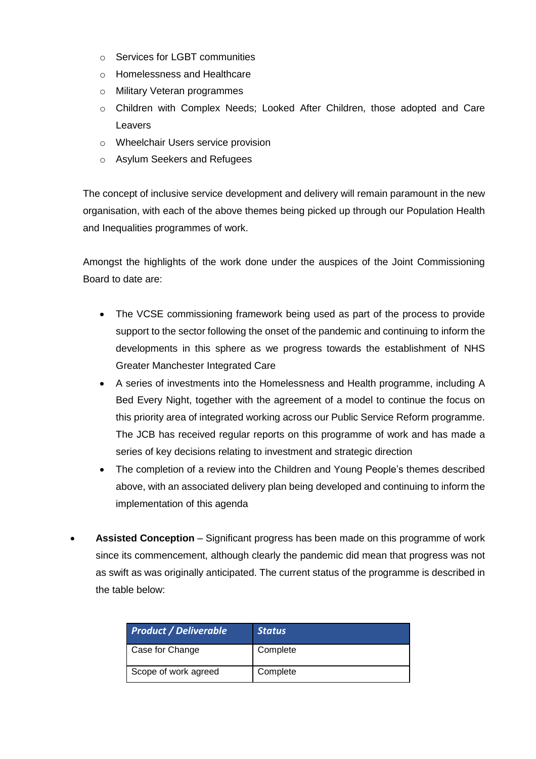- o Services for LGBT communities
- o Homelessness and Healthcare
- o Military Veteran programmes
- o Children with Complex Needs; Looked After Children, those adopted and Care Leavers
- o Wheelchair Users service provision
- o Asylum Seekers and Refugees

The concept of inclusive service development and delivery will remain paramount in the new organisation, with each of the above themes being picked up through our Population Health and Inequalities programmes of work.

Amongst the highlights of the work done under the auspices of the Joint Commissioning Board to date are:

- The VCSE commissioning framework being used as part of the process to provide support to the sector following the onset of the pandemic and continuing to inform the developments in this sphere as we progress towards the establishment of NHS Greater Manchester Integrated Care
- A series of investments into the Homelessness and Health programme, including A Bed Every Night, together with the agreement of a model to continue the focus on this priority area of integrated working across our Public Service Reform programme. The JCB has received regular reports on this programme of work and has made a series of key decisions relating to investment and strategic direction
- The completion of a review into the Children and Young People's themes described above, with an associated delivery plan being developed and continuing to inform the implementation of this agenda
- **Assisted Conception** Significant progress has been made on this programme of work since its commencement, although clearly the pandemic did mean that progress was not as swift as was originally anticipated. The current status of the programme is described in the table below:

| <b>Product / Deliverable</b> | <b>Status</b> |
|------------------------------|---------------|
| Case for Change              | Complete      |
| Scope of work agreed         | Complete      |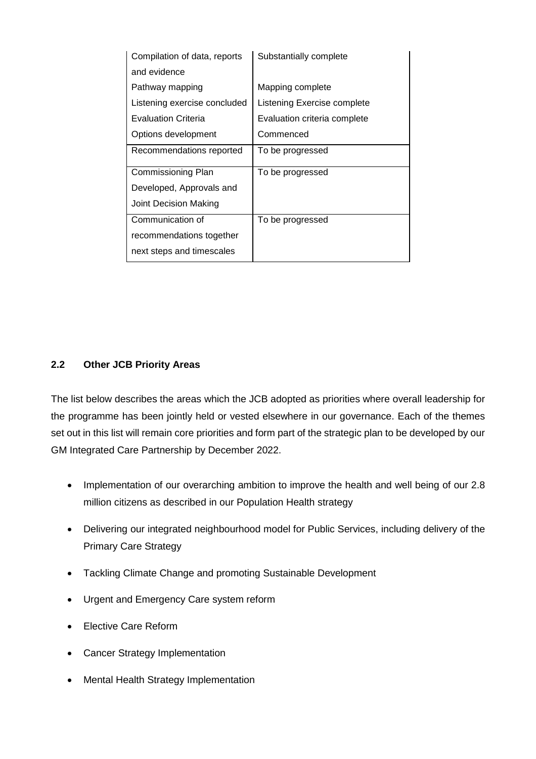| Compilation of data, reports | Substantially complete       |
|------------------------------|------------------------------|
| and evidence                 |                              |
| Pathway mapping              | Mapping complete             |
| Listening exercise concluded | Listening Exercise complete  |
| <b>Evaluation Criteria</b>   | Evaluation criteria complete |
| Options development          | Commenced                    |
| Recommendations reported     | To be progressed             |
| Commissioning Plan           | To be progressed             |
| Developed, Approvals and     |                              |
| <b>Joint Decision Making</b> |                              |
| Communication of             | To be progressed             |
| recommendations together     |                              |
| next steps and timescales    |                              |

#### **2.2 Other JCB Priority Areas**

The list below describes the areas which the JCB adopted as priorities where overall leadership for the programme has been jointly held or vested elsewhere in our governance. Each of the themes set out in this list will remain core priorities and form part of the strategic plan to be developed by our GM Integrated Care Partnership by December 2022.

- Implementation of our overarching ambition to improve the health and well being of our 2.8 million citizens as described in our Population Health strategy
- Delivering our integrated neighbourhood model for Public Services, including delivery of the Primary Care Strategy
- Tackling Climate Change and promoting Sustainable Development
- Urgent and Emergency Care system reform
- Elective Care Reform
- Cancer Strategy Implementation
- Mental Health Strategy Implementation